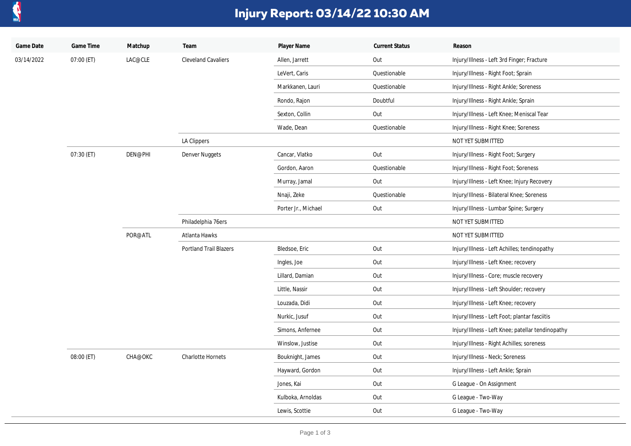

## **Injury Report: 03/14/22 10:30 AM**

| Game Date  | Game Time  | Matchup | Team                          | Player Name         | <b>Current Status</b> | Reason                                            |
|------------|------------|---------|-------------------------------|---------------------|-----------------------|---------------------------------------------------|
| 03/14/2022 | 07:00 (ET) | LAC@CLE | <b>Cleveland Cavaliers</b>    | Allen, Jarrett      | Out                   | Injury/Illness - Left 3rd Finger; Fracture        |
|            |            |         |                               | LeVert, Caris       | Questionable          | Injury/Illness - Right Foot; Sprain               |
|            |            |         |                               | Markkanen, Lauri    | Questionable          | Injury/Illness - Right Ankle; Soreness            |
|            |            |         |                               | Rondo, Rajon        | Doubtful              | Injury/Illness - Right Ankle; Sprain              |
|            |            |         |                               | Sexton, Collin      | Out                   | Injury/Illness - Left Knee; Meniscal Tear         |
|            |            |         |                               | Wade, Dean          | Questionable          | Injury/Illness - Right Knee; Soreness             |
|            |            |         | LA Clippers                   |                     |                       | NOT YET SUBMITTED                                 |
|            | 07:30 (ET) | DEN@PHI | Denver Nuggets                | Cancar, Vlatko      | Out                   | Injury/Illness - Right Foot; Surgery              |
|            |            |         |                               | Gordon, Aaron       | Questionable          | Injury/Illness - Right Foot; Soreness             |
|            |            |         |                               | Murray, Jamal       | Out                   | Injury/Illness - Left Knee; Injury Recovery       |
|            |            |         |                               | Nnaji, Zeke         | Questionable          | Injury/Illness - Bilateral Knee; Soreness         |
|            |            |         |                               | Porter Jr., Michael | Out                   | Injury/Illness - Lumbar Spine; Surgery            |
|            |            |         | Philadelphia 76ers            |                     |                       | NOT YET SUBMITTED                                 |
|            |            | POR@ATL | Atlanta Hawks                 |                     |                       | NOT YET SUBMITTED                                 |
|            |            |         | <b>Portland Trail Blazers</b> | Bledsoe, Eric       | Out                   | Injury/Illness - Left Achilles; tendinopathy      |
|            |            |         |                               | Ingles, Joe         | Out                   | Injury/Illness - Left Knee; recovery              |
|            |            |         |                               | Lillard, Damian     | Out                   | Injury/Illness - Core; muscle recovery            |
|            |            |         |                               | Little, Nassir      | Out                   | Injury/Illness - Left Shoulder; recovery          |
|            |            |         |                               | Louzada, Didi       | Out                   | Injury/Illness - Left Knee; recovery              |
|            |            |         |                               | Nurkic, Jusuf       | Out                   | Injury/Illness - Left Foot; plantar fasciitis     |
|            |            |         |                               | Simons, Anfernee    | Out                   | Injury/Illness - Left Knee; patellar tendinopathy |
|            |            |         |                               | Winslow, Justise    | Out                   | Injury/Illness - Right Achilles; soreness         |
|            | 08:00 (ET) | CHA@OKC | Charlotte Hornets             | Bouknight, James    | Out                   | Injury/Illness - Neck; Soreness                   |
|            |            |         |                               | Hayward, Gordon     | Out                   | Injury/Illness - Left Ankle; Sprain               |
|            |            |         |                               | Jones, Kai          | Out                   | G League - On Assignment                          |
|            |            |         |                               | Kulboka, Arnoldas   | Out                   | G League - Two-Way                                |
|            |            |         |                               | Lewis, Scottie      | Out                   | G League - Two-Way                                |
|            |            |         |                               |                     |                       |                                                   |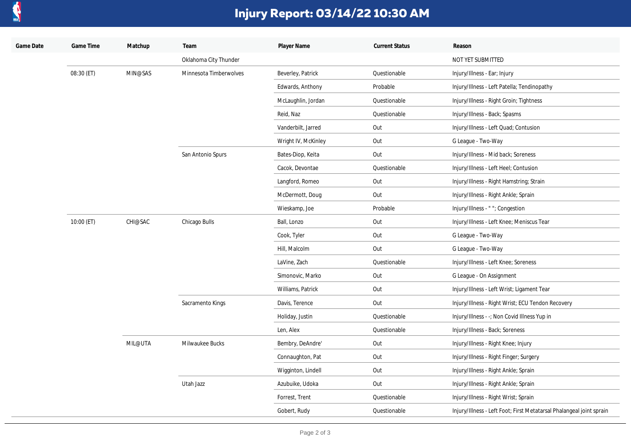

## **Injury Report: 03/14/22 10:30 AM**

| Game Date | Game Time  | Matchup | Team                   | Player Name         | <b>Current Status</b> | Reason                                                               |
|-----------|------------|---------|------------------------|---------------------|-----------------------|----------------------------------------------------------------------|
|           |            |         | Oklahoma City Thunder  |                     |                       | NOT YET SUBMITTED                                                    |
|           | 08:30 (ET) | MIN@SAS | Minnesota Timberwolves | Beverley, Patrick   | Questionable          | Injury/Illness - Ear; Injury                                         |
|           |            |         |                        | Edwards, Anthony    | Probable              | Injury/Illness - Left Patella; Tendinopathy                          |
|           |            |         |                        | McLaughlin, Jordan  | Questionable          | Injury/Illness - Right Groin; Tightness                              |
|           |            |         |                        | Reid, Naz           | Questionable          | Injury/Illness - Back; Spasms                                        |
|           |            |         |                        | Vanderbilt, Jarred  | Out                   | Injury/Illness - Left Quad; Contusion                                |
|           |            |         |                        | Wright IV, McKinley | Out                   | G League - Two-Way                                                   |
|           |            |         | San Antonio Spurs      | Bates-Diop, Keita   | Out                   | Injury/Illness - Mid back; Soreness                                  |
|           |            |         |                        | Cacok, Devontae     | Questionable          | Injury/Illness - Left Heel; Contusion                                |
|           |            |         |                        | Langford, Romeo     | Out                   | Injury/Illness - Right Hamstring; Strain                             |
|           |            |         |                        | McDermott, Doug     | Out                   | Injury/Illness - Right Ankle; Sprain                                 |
|           |            |         |                        | Wieskamp, Joe       | Probable              | Injury/Illness - ""; Congestion                                      |
|           | 10:00 (ET) | CHI@SAC | Chicago Bulls          | Ball, Lonzo         | Out                   | Injury/Illness - Left Knee; Meniscus Tear                            |
|           |            |         |                        | Cook, Tyler         | Out                   | G League - Two-Way                                                   |
|           |            |         |                        | Hill, Malcolm       | Out                   | G League - Two-Way                                                   |
|           |            |         |                        | LaVine, Zach        | Questionable          | Injury/Illness - Left Knee; Soreness                                 |
|           |            |         |                        | Simonovic, Marko    | Out                   | G League - On Assignment                                             |
|           |            |         |                        | Williams, Patrick   | Out                   | Injury/Illness - Left Wrist; Ligament Tear                           |
|           |            |         | Sacramento Kings       | Davis, Terence      | Out                   | Injury/Illness - Right Wrist; ECU Tendon Recovery                    |
|           |            |         |                        | Holiday, Justin     | Questionable          | Injury/Illness - -; Non Covid Illness Yup in                         |
|           |            |         |                        | Len, Alex           | Questionable          | Injury/Illness - Back; Soreness                                      |
|           |            | MIL@UTA | Milwaukee Bucks        | Bembry, DeAndre'    | Out                   | Injury/Illness - Right Knee; Injury                                  |
|           |            |         |                        | Connaughton, Pat    | Out                   | Injury/Illness - Right Finger; Surgery                               |
|           |            |         |                        | Wigginton, Lindell  | Out                   | Injury/Illness - Right Ankle; Sprain                                 |
|           |            |         | Utah Jazz              | Azubuike, Udoka     | Out                   | Injury/Illness - Right Ankle; Sprain                                 |
|           |            |         |                        | Forrest, Trent      | Questionable          | Injury/Illness - Right Wrist; Sprain                                 |
|           |            |         |                        | Gobert, Rudy        | Questionable          | Injury/Illness - Left Foot; First Metatarsal Phalangeal joint sprain |
|           |            |         |                        |                     |                       |                                                                      |